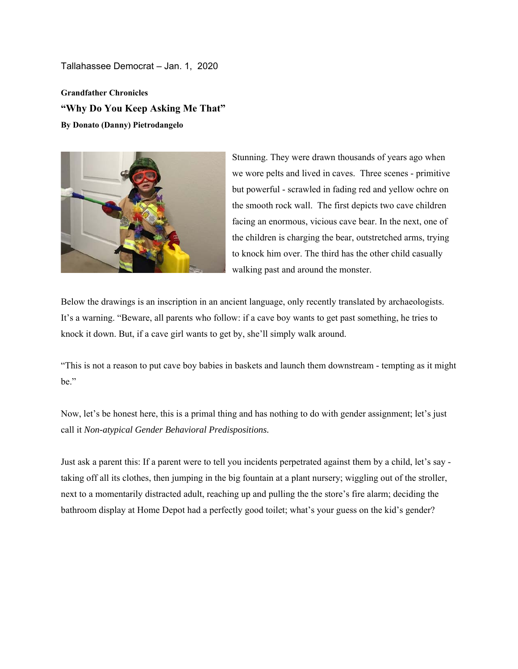Tallahassee Democrat – Jan. 1, 2020

**Grandfather Chronicles "Why Do You Keep Asking Me That" By Donato (Danny) Pietrodangelo** 



Stunning. They were drawn thousands of years ago when we wore pelts and lived in caves. Three scenes - primitive but powerful - scrawled in fading red and yellow ochre on the smooth rock wall. The first depicts two cave children facing an enormous, vicious cave bear. In the next, one of the children is charging the bear, outstretched arms, trying to knock him over. The third has the other child casually walking past and around the monster.

Below the drawings is an inscription in an ancient language, only recently translated by archaeologists. It's a warning. "Beware, all parents who follow: if a cave boy wants to get past something, he tries to knock it down. But, if a cave girl wants to get by, she'll simply walk around.

"This is not a reason to put cave boy babies in baskets and launch them downstream - tempting as it might be."

Now, let's be honest here, this is a primal thing and has nothing to do with gender assignment; let's just call it *Non-atypical Gender Behavioral Predispositions.* 

Just ask a parent this: If a parent were to tell you incidents perpetrated against them by a child, let's say taking off all its clothes, then jumping in the big fountain at a plant nursery; wiggling out of the stroller, next to a momentarily distracted adult, reaching up and pulling the the store's fire alarm; deciding the bathroom display at Home Depot had a perfectly good toilet; what's your guess on the kid's gender?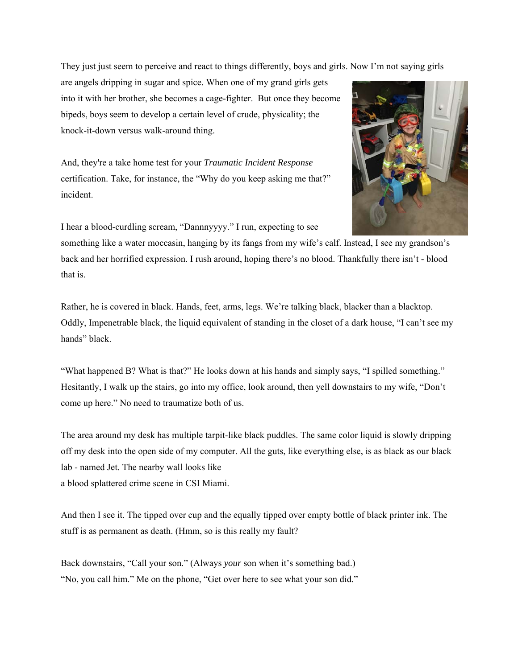They just just seem to perceive and react to things differently, boys and girls. Now I'm not saying girls

are angels dripping in sugar and spice. When one of my grand girls gets into it with her brother, she becomes a cage-fighter. But once they become bipeds, boys seem to develop a certain level of crude, physicality; the knock-it-down versus walk-around thing.

And, they're a take home test for your *Traumatic Incident Response*  certification. Take, for instance, the "Why do you keep asking me that?" incident.



I hear a blood-curdling scream, "Dannnyyyy." I run, expecting to see

something like a water moccasin, hanging by its fangs from my wife's calf. Instead, I see my grandson's back and her horrified expression. I rush around, hoping there's no blood. Thankfully there isn't - blood that is.

Rather, he is covered in black. Hands, feet, arms, legs. We're talking black, blacker than a blacktop. Oddly, Impenetrable black, the liquid equivalent of standing in the closet of a dark house, "I can't see my hands" black.

"What happened B? What is that?" He looks down at his hands and simply says, "I spilled something." Hesitantly, I walk up the stairs, go into my office, look around, then yell downstairs to my wife, "Don't come up here." No need to traumatize both of us.

The area around my desk has multiple tarpit-like black puddles. The same color liquid is slowly dripping off my desk into the open side of my computer. All the guts, like everything else, is as black as our black lab - named Jet. The nearby wall looks like a blood splattered crime scene in CSI Miami.

And then I see it. The tipped over cup and the equally tipped over empty bottle of black printer ink. The stuff is as permanent as death. (Hmm, so is this really my fault?

Back downstairs, "Call your son." (Always *your* son when it's something bad.) "No, you call him." Me on the phone, "Get over here to see what your son did."